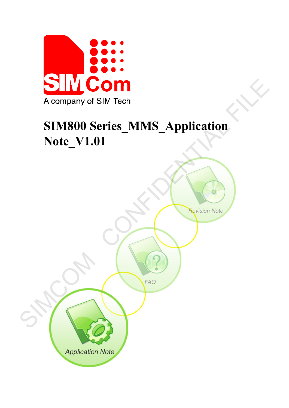

# **SIM800 Series\_MMS\_Application Note\_V1.01**

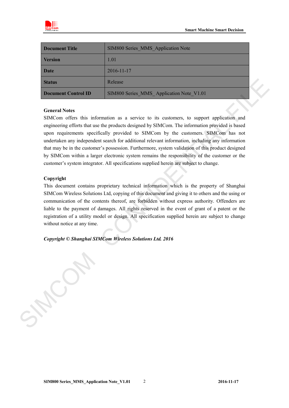

| <b>Document Title</b> | SIM800 Series MMS Application Note       |
|-----------------------|------------------------------------------|
| <b>Version</b>        | 1.01                                     |
| Date                  | $2016 - 11 - 17$                         |
| <b>Status</b>         | Release                                  |
| Document Control ID   | SIM800 Series MMS Application Note V1.01 |

#### **General Notes**

SIMCom offers this information as a service to its customers, to support application and engineering efforts that use the products designed by SIMCom. The information provided is based upon requirements specifically provided to SIMCom by the customers. SIMCom has not undertaken any independent search for additional relevant information, including any information that may be in the customer's possession. Furthermore, system validation of this product designed by SIMCom within a larger electronic system remains the responsibility of the customer or the customer's system integrator. All specifications supplied herein are subject to change. Redeate<br>
SIMS00 Series, MMS Application Note, V1.01<br>
General Note,<br>
SIMS00 Series, MMS Application Note, V1.01<br>
SimCorm of Eric Bis information as a serivice to its cantomers, to support application and<br>
regineering effort

#### **Copyright**

This document contains proprietary technical information which is the property of Shanghai SIMCom Wireless Solutions Ltd, copying of this document and giving it to others and the using or communication of the contents thereof, are forbidden without express authority. Offenders are liable to the payment of damages. All rights reserved in the event of grant of a patent or the registration of a utility model or design. All specification supplied herein are subject to change without notice at any time.

*Copyright © Shanghai SIMCom Wireless Solutions Ltd. 2016*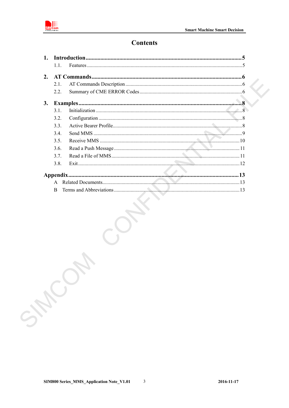

# **Contents**

| $\mathbf{1}$ . |              |  |
|----------------|--------------|--|
|                | 11           |  |
| 2.             |              |  |
|                | 21           |  |
|                | 2.2.         |  |
| 3.             |              |  |
|                | 31           |  |
|                | 3.2.         |  |
|                | 3.3.         |  |
|                | 34           |  |
|                | 3.5          |  |
|                | 3.6.         |  |
|                | 3.7.         |  |
|                | 3.8.         |  |
|                |              |  |
|                | $\mathbf{A}$ |  |
|                | <sub>R</sub> |  |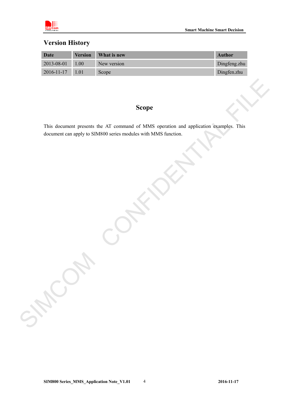

# **Version History**

| Date                  | <b>Version</b> | <b>What is new</b> | <b>Author</b> |
|-----------------------|----------------|--------------------|---------------|
| $2013 - 08 - 01$      | 1.00           | New version        | Dingfeng.zhu  |
| $2016 - 11 - 17$ 1.01 |                | Scope              | Dingfen.zhu   |

# **Scope**

This document presents the AT command of MMS operation and application examples. This document can apply to SIM800 series modules with MMS function. Scope<br>
This document are apply to SIMS00 scries modules with MMS function<br>
document can apply to SIMS00 scries modules with MMS function<br>
And the Confident of the MAS function<br>
Confident of the Confident of the Confidence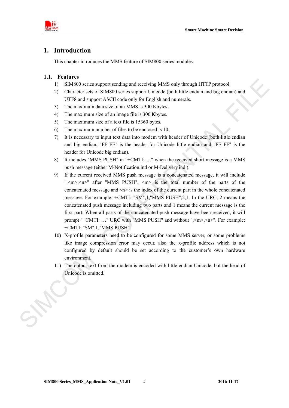

# <span id="page-4-0"></span>**1. Introduction**

This chapter introduces the MMS feature of SIM800 series modules.

#### <span id="page-4-1"></span>**1.1. Features**

- 1) SIM800 series support sending and receiving MMS only through HTTP protocol.
- 2) Character sets of SIM800 series support Unicode (both little endian and big endian) and UTF8 and support ASCII code only for English and numerals.
- 3) The maximum data size of an MMS is 300 Kbytes.
- 4) The maximum size of an image file is 300 Kbytes.
- 5) The maximum size of a text file is 15360 bytes.
- 6) The maximum number of files to be enclosed is 10.
- 7) It is necessary to input text data into modem with header of Unicode (both little endian and big endian, "FF FE" is the header for Unicode little endian and "FE FF" is the header for Unicode big endian).
- 8) It includes "MMS PUSH" in "+CMTI: …" when the received short message is a MMS push message (either M-Notification.ind or M-Delivery.ind ).
- 9) If the current received MMS push message is a concatenated message, it will include ",  $\leq m$ ,  $\leq n$  after "MMS PUSH".  $\leq m$  is the total number of the parts of the concatenated message and  $\langle n \rangle$  is the index of the current part in the whole concatenated message. For example: +CMTI: "SM",1,"MMS PUSH",2,1. In the URC, 2 means the concatenated push message including two parts and 1 means the current message is the first part. When all parts of the concatenated push message have been received, it will prompt "+CMTI: ..." URC with "MMS PUSH" and without ", <m>, <n>". For example: +CMTI: "SM",1,"MMS PUSH". 1 STAN800 series support scruding and receiving MMS only through HTTP protocol.<br>
2) Character sets of SIM600 series support University for MHS only through HTTP protocol.<br>
2) Character sets of SIM600 series apport Dubical
	- 10) X-profile parameters need to be configured for some MMS server, or some problems like image compression error may occur, also the x-profile address which is not configured by default should be set according to the customer's own hardware environment.
	- 11) The output text from the modem is encoded with little endian Unicode, but the head of Unicode is omitted.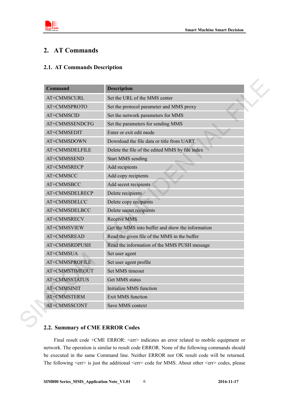

# <span id="page-5-0"></span>**2. AT Commands**

# <span id="page-5-1"></span>**2.1. AT Commands Description**

| <b>Command</b>       | <b>Description</b>                               |
|----------------------|--------------------------------------------------|
| AT+CMMSCURL          | Set the URL of the MMS center                    |
| AT+CMMSPROTO         | Set the protocol parameter and MMS proxy         |
| AT+CMMSCID           | Set the network parameters for MMS               |
| AT+CMMSSENDCFG       | Set the parameters for sending MMS               |
| AT+CMMSEDIT          | Enter or exit edit mode                          |
| AT+CMMSDOWN          | Download the file data or title from UART        |
| AT+CMMSDELFILE       | Delete the file of the edited MMS by file index  |
| AT+CMMSSEND          | <b>Start MMS</b> sending                         |
| AT+CMMSRECP          | Add recipients                                   |
| AT+CMMSCC            | Add copy recipients                              |
| AT+CMMSBCC           | Add secret recipients                            |
| AT+CMMSDELRECP       | Delete recipients                                |
| AT+CMMSDELCC         | Delete copy recipients                           |
| AT+CMMSDELBCC        | Delete secret recipients                         |
| AT+CMMSRECV          | Receive MMS                                      |
| AT+CMMSVIEW          | Get the MMS into buffer and show the information |
| AT+CMMSREAD          | Read the given file of the MMS in the buffer     |
| AT+CMMSRDPUSH        | Read the information of the MMS PUSH message     |
| AT+CMMSUA            | Set user agent                                   |
| AT+CMMSPROFILE       | Set user agent profile                           |
| AT+CMMSTIMEOUT       | Set MMS timeout                                  |
| <b>AT+CMMSSTATUS</b> | Get MMS status                                   |
| AT+CMMSINIT          | Initialize MMS function                          |
| AT+CMMSTERM          | Exit MMS function                                |
| AT+CMMSSCONT         | Save MMS context                                 |

## <span id="page-5-2"></span>**2.2. Summary of CME ERROR Codes**

Final result code +CME ERROR: <err>indicates an error related to mobile equipment or network. The operation is similar to result code ERROR. None of the following commands should be executed in the same Command line. Neither ERROR nor OK result code will be returned. The following <err> is just the additional <err> code for MMS. About other <err> codes, please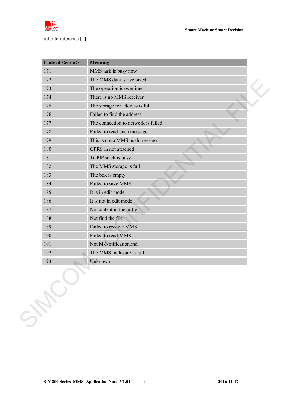

refer to reference [1].

| Code of <error></error> | <b>Meaning</b>                      |
|-------------------------|-------------------------------------|
| 171                     | MMS task is busy now                |
| 172                     | The MMS data is oversized           |
| 173                     | The operation is overtime           |
| 174                     | There is no MMS receiver            |
| 175                     | The storage for address is full     |
| 176                     | Failed to find the address          |
| 177                     | The connection to network is failed |
| 178                     | Failed to read push message         |
| 179                     | This is not a MMS push message      |
| 180                     | GPRS in not attached                |
| 181                     | TCPIP stack is busy                 |
| 182                     | The MMS storage is full             |
| 183                     | The box is empty                    |
| 184                     | Failed to save MMS                  |
| 185                     | It is in edit mode                  |
| 186                     | It is not in edit mode              |
| 187                     | No content in the buffer            |
| 188                     | Not find the file                   |
| 189                     | Failed to receive MMS               |
| 190                     | Failed to read MMS                  |
| 191                     | Not M-Notification.ind              |
| 192                     | The MMS inclosure is full           |
| 193                     | Unknown                             |
| SHEL                    |                                     |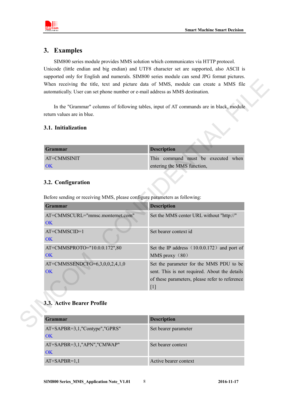

# <span id="page-7-0"></span>**3. Examples**

SIM800 series module provides MMS solution which communicates via HTTP protocol. Unicode (little endian and big endian) and UTF8 character set are supported, also ASCII is supported only for English and numerals. SIM800 series module can send JPG format pictures. When receiving the title, text and picture data of MMS, module can create a MMS file automatically. User can set phone number or e-mail address as MMS destination.

#### <span id="page-7-1"></span>**3.1. Initialization**

| <b>Grammar</b> | <b>Description</b>                 |
|----------------|------------------------------------|
| AT+CMMSINIT    | This command must be executed when |
| OK             | entering the MMS function,         |

#### <span id="page-7-2"></span>**3.2. Configuration**

| <b>Description</b><br>entering the MMS function,                                                                                                    |
|-----------------------------------------------------------------------------------------------------------------------------------------------------|
| This command must be executed when                                                                                                                  |
|                                                                                                                                                     |
|                                                                                                                                                     |
|                                                                                                                                                     |
| Before sending or receiving MMS, please configure parameters as following:                                                                          |
| <b>Description</b>                                                                                                                                  |
| Set the MMS center URL without "http://"                                                                                                            |
| Set bearer context id                                                                                                                               |
| Set the IP address (10.0.0.172) and port of<br>MMS proxy (80)                                                                                       |
| Set the parameter for the MMS PDU to be<br>sent. This is not required. About the details<br>of these parameters, please refer to reference<br>$[1]$ |
|                                                                                                                                                     |

# <span id="page-7-3"></span>**3.3. Active Bearer Profile**

| <b>Grammar</b>                | <b>Description</b>    |
|-------------------------------|-----------------------|
| AT+SAPBR=3,1,"Contype","GPRS" | Set bearer parameter  |
| OK                            |                       |
| AT+SAPBR=3,1,"APN","CMWAP"    | Set bearer context    |
| OK                            |                       |
| $AT+SAPBR=1,1$                | Active bearer context |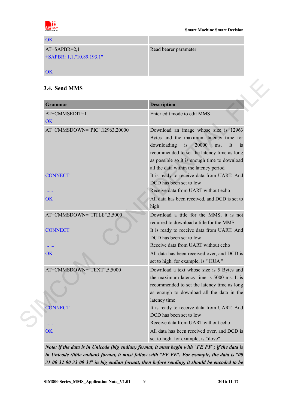

| <b>OK</b>                    |                       |
|------------------------------|-----------------------|
| $AT+SAPBR=2,1$               | Read bearer parameter |
| $+SAPBR: 1,1, "10.89.193.1"$ |                       |
|                              |                       |
| OK                           |                       |

## <span id="page-8-0"></span>**3.4. Send MMS**

| AT+CMMSEDIT=1<br><b>OK</b><br>AT+CMMSDOWN="PIC",12963,20000<br><b>CONNECT</b><br>.<br><b>OK</b><br>AT+CMMSDOWN="TITLE",3,5000<br><b>CONNECT</b> | Enter edit mode to edit MMS<br>Download an image whose size is 12963<br>Bytes and the maximum latency time for<br>downloading<br>is<br>20000<br>It<br>$\overline{1}$<br>ms.<br>recommended to set the latency time as long<br>as possible so it is enough time to download<br>all the data within the latency period<br>It is ready to receive data from UART. And<br>DCD has been set to low<br>Receive data from UART without echo<br>All data has been received, and DCD is set to<br>high |
|-------------------------------------------------------------------------------------------------------------------------------------------------|-----------------------------------------------------------------------------------------------------------------------------------------------------------------------------------------------------------------------------------------------------------------------------------------------------------------------------------------------------------------------------------------------------------------------------------------------------------------------------------------------|
|                                                                                                                                                 |                                                                                                                                                                                                                                                                                                                                                                                                                                                                                               |
|                                                                                                                                                 |                                                                                                                                                                                                                                                                                                                                                                                                                                                                                               |
|                                                                                                                                                 |                                                                                                                                                                                                                                                                                                                                                                                                                                                                                               |
|                                                                                                                                                 |                                                                                                                                                                                                                                                                                                                                                                                                                                                                                               |
|                                                                                                                                                 | Download a title for the MMS, it is not<br>required to download a title for the MMS.<br>It is ready to receive data from UART. And<br>DCD has been set to low<br>Receive data from UART without echo                                                                                                                                                                                                                                                                                          |
| <b>OK</b>                                                                                                                                       | All data has been received over, and DCD is<br>set to high. for example, is "HUA"                                                                                                                                                                                                                                                                                                                                                                                                             |
| AT+CMMSDOWN="TEXT",5,5000                                                                                                                       | Download a text whose size is 5 Bytes and<br>the maximum latency time is 5000 ms. It is<br>recommended to set the latency time as long<br>as enough to download all the data in the<br>latency time                                                                                                                                                                                                                                                                                           |
| <b>CONNECT</b><br>.                                                                                                                             | It is ready to receive data from UART. And<br>DCD has been set to low<br>Receive data from UART without echo                                                                                                                                                                                                                                                                                                                                                                                  |

*Note: if the data is in Unicode (big endian) format, it must begin with* "*FE FF*"*; if the data is in Unicode (little endian) format, it must follow with* "*FF FE*"*. For example, the data is* "*00 31 00 32 00 33 00 34*" *in big endian format, then before sending, it should be encoded to be*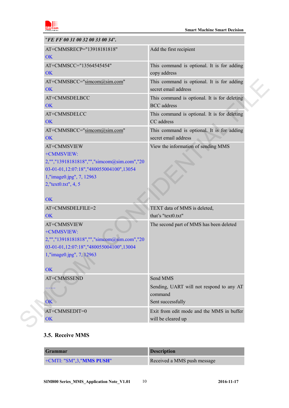

| "FE FF 00 31 00 32 00 33 00 34".                                                                                                                                                   |                                                                    |
|------------------------------------------------------------------------------------------------------------------------------------------------------------------------------------|--------------------------------------------------------------------|
| AT+CMMSRECP="13918181818"<br><b>OK</b>                                                                                                                                             | Add the first recipient                                            |
| AT+CMMSCC="13564545454"<br><b>OK</b>                                                                                                                                               | This command is optional. It is for adding<br>copy address         |
| AT+CMMSBCC="simcom@sim.com"<br>OK                                                                                                                                                  | This command is optional. It is for adding<br>secret email address |
| AT+CMMSDELBCC<br><b>OK</b>                                                                                                                                                         | This command is optional. It is for deleting<br><b>BCC</b> address |
| AT+CMMSDELCC<br><b>OK</b>                                                                                                                                                          | This command is optional. It is for deleting<br>CC address         |
| AT+CMMSBCC="simcom@sim.com"<br><b>OK</b>                                                                                                                                           | This command is optional. It is for adding<br>secret email address |
| AT+CMMSVIEW<br>+CMMSVIEW:<br>2,"","13918181818","","simcom@sim.com","20<br>03-01-01,12:07:18","480055004100",13054<br>1,"image0.jpg", 7, 12963<br>2,"text0.txt", 4, 5<br><b>OK</b> | View the information of sending MMS                                |
| AT+CMMSDELFILE=2                                                                                                                                                                   | TEXT data of MMS is deleted,                                       |
| OK                                                                                                                                                                                 | that's "text0.txt"                                                 |
| AT+CMMSVIEW<br>+CMMSVIEW:<br>2,"","13918181818","","simcom@sim.com","20<br>03-01-01,12:07:18","480055004100",13004<br>1,"image0.jpg", 7, 12963<br>OK                               | The second part of MMS has been deleted                            |
| AT+CMMSSEND                                                                                                                                                                        | Send MMS                                                           |
| .                                                                                                                                                                                  | Sending, UART will not respond to any AT<br>command                |
| <b>OK</b>                                                                                                                                                                          | Sent successfully                                                  |
| AT+CMMSEDIT=0                                                                                                                                                                      | Exit from edit mode and the MMS in buffer                          |
| OK                                                                                                                                                                                 | will be cleared up                                                 |

#### <span id="page-9-0"></span>**3.5. Receive MMS**

| <b>Grammar</b>                   | <b>Description</b>          |
|----------------------------------|-----------------------------|
| +CMTI: "SM",3," <b>MMS PUSH"</b> | Received a MMS push message |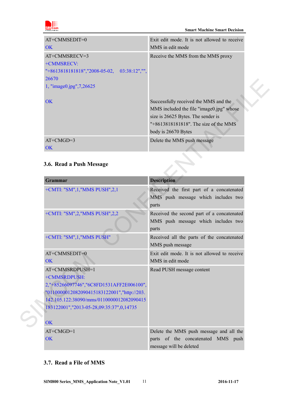

| $AT+CMMSEDIT=0$                                  | Exit edit mode. It is not allowed to receive                                                                                                                                               |
|--------------------------------------------------|--------------------------------------------------------------------------------------------------------------------------------------------------------------------------------------------|
| OK                                               | MMS in edit mode                                                                                                                                                                           |
| AT+CMMSRECV=3                                    | Receive the MMS from the MMS proxy                                                                                                                                                         |
| +CMMSRECV:                                       |                                                                                                                                                                                            |
| $"+8613818181818"$ , "2008-05-02, 03:38:12", "", |                                                                                                                                                                                            |
| 26670                                            |                                                                                                                                                                                            |
| 1, "image0.jpg", 7, 26625                        |                                                                                                                                                                                            |
| OK                                               | Successfully received the MMS and the<br>MMS included the file "image0.jpg" whose<br>size is 26625 Bytes. The sender is<br>$"+8613818181818"$ . The size of the MMS<br>body is 26670 Bytes |
| $AT+CMGD=3$                                      | Delete the MMS push message                                                                                                                                                                |
| OK                                               |                                                                                                                                                                                            |

# <span id="page-10-0"></span>**3.6. Read a Push Message**

| 200 / U                                                                                                                                                                                                                    |                                                                                                                                                                                         |
|----------------------------------------------------------------------------------------------------------------------------------------------------------------------------------------------------------------------------|-----------------------------------------------------------------------------------------------------------------------------------------------------------------------------------------|
| 1, "image0.jpg", 7,26625                                                                                                                                                                                                   |                                                                                                                                                                                         |
| <b>OK</b>                                                                                                                                                                                                                  | Successfully received the MMS and the<br>MMS included the file "image0.jpg" whose<br>size is 26625 Bytes. The sender is<br>"+8613818181818". The size of the MMS<br>body is 26670 Bytes |
| $AT+CMGD=3$                                                                                                                                                                                                                | Delete the MMS push message                                                                                                                                                             |
| OK                                                                                                                                                                                                                         |                                                                                                                                                                                         |
| 3.6. Read a Push Message                                                                                                                                                                                                   |                                                                                                                                                                                         |
| <b>Grammar</b>                                                                                                                                                                                                             | <b>Description</b>                                                                                                                                                                      |
| +CMTI: "SM",1,"MMS PUSH",2,1                                                                                                                                                                                               | Received the first part of a concatenated<br>MMS push message which includes two<br>parts                                                                                               |
| +CMTI: "SM",2,"MMS PUSH",2,2                                                                                                                                                                                               | Received the second part of a concatenated<br>MMS push message which includes two<br>parts                                                                                              |
| +CMTI: "SM",1, "MMS PUSH"                                                                                                                                                                                                  | Received all the parts of the concatenated<br>MMS push message                                                                                                                          |
| AT+CMMSEDIT=0                                                                                                                                                                                                              | Exit edit mode. It is not allowed to receive                                                                                                                                            |
| <b>OK</b>                                                                                                                                                                                                                  | MMS in edit mode                                                                                                                                                                        |
| AT+CMMSRDPUSH=1<br>+CMMSRDPUSH:<br>2,"+85266097746","6C8FD1531AFF2E006100",<br>"0110000012082090415183122001", "http://203.<br>142.105.122:38090/mms/0110000012082090415<br>183122001","2013-05-28,09:35:37",0,14735<br>OK | Read PUSH message content                                                                                                                                                               |
| $AT+CMGD=1$                                                                                                                                                                                                                | Delete the MMS push message and all the                                                                                                                                                 |
| OK                                                                                                                                                                                                                         | parts of the concatenated MMS push                                                                                                                                                      |

### <span id="page-10-1"></span>**3.7. Read a File of MMS**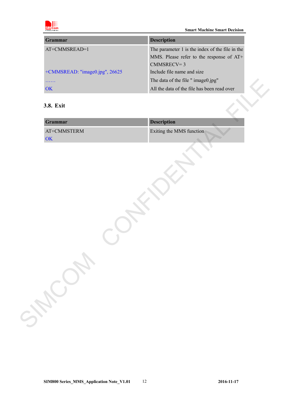

| Grammar                           | <b>Description</b>                              |
|-----------------------------------|-------------------------------------------------|
| AT+CMMSREAD=1                     | The parameter 1 is the index of the file in the |
|                                   | MMS. Please refer to the response of AT+        |
|                                   | $CMMSRECV=3$                                    |
| $+$ CMMSREAD: "image0.jpg", 26625 | Include file name and size                      |
|                                   | The data of the file " image 0.jpg"             |
| OK                                | All the data of the file has been read over     |

## <span id="page-11-0"></span>**3.8. Exit**

| Grammar             | <b>Description</b>       |
|---------------------|--------------------------|
| $AT+CMMSTERM$<br>OK | Exiting the MMS function |
|                     |                          |
|                     |                          |
|                     |                          |
|                     |                          |
|                     |                          |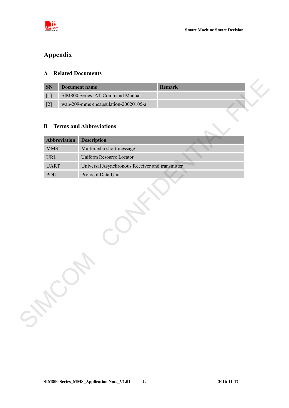

# <span id="page-12-0"></span>**Appendix**

### <span id="page-12-1"></span>**A Related Documents**

| <b>SN</b>         | Document name                        | Remark |  |
|-------------------|--------------------------------------|--------|--|
|                   | SIM800 Series AT Command Manual      |        |  |
| $\lceil 2 \rceil$ | wap-209-mms encapsulation-20020105-a |        |  |

# <span id="page-12-2"></span>**B Terms and Abbreviations**

|                                    |              | <b>Document name</b>                            | Remark |  |
|------------------------------------|--------------|-------------------------------------------------|--------|--|
| $[1]$                              |              | SIM800 Series AT Command Manual                 |        |  |
| $[2]$                              |              | wap-209-mms encapsulation-20020105-a            |        |  |
|                                    |              |                                                 |        |  |
| $\bf{B}$                           |              | <b>Terms and Abbreviations</b>                  |        |  |
|                                    |              |                                                 |        |  |
|                                    | Abbreviation | <b>Description</b>                              |        |  |
| <b>MMS</b>                         |              | Multimedia short message                        |        |  |
| $\ensuremath{\mathsf{URL}}\xspace$ |              | Uniform Resource Locator                        |        |  |
| <b>UART</b>                        |              | Universal Asynchronous Receiver and transmitter |        |  |
| PDU                                |              | Protocol Data Unit                              |        |  |
|                                    |              |                                                 |        |  |
|                                    |              |                                                 |        |  |
|                                    |              |                                                 |        |  |